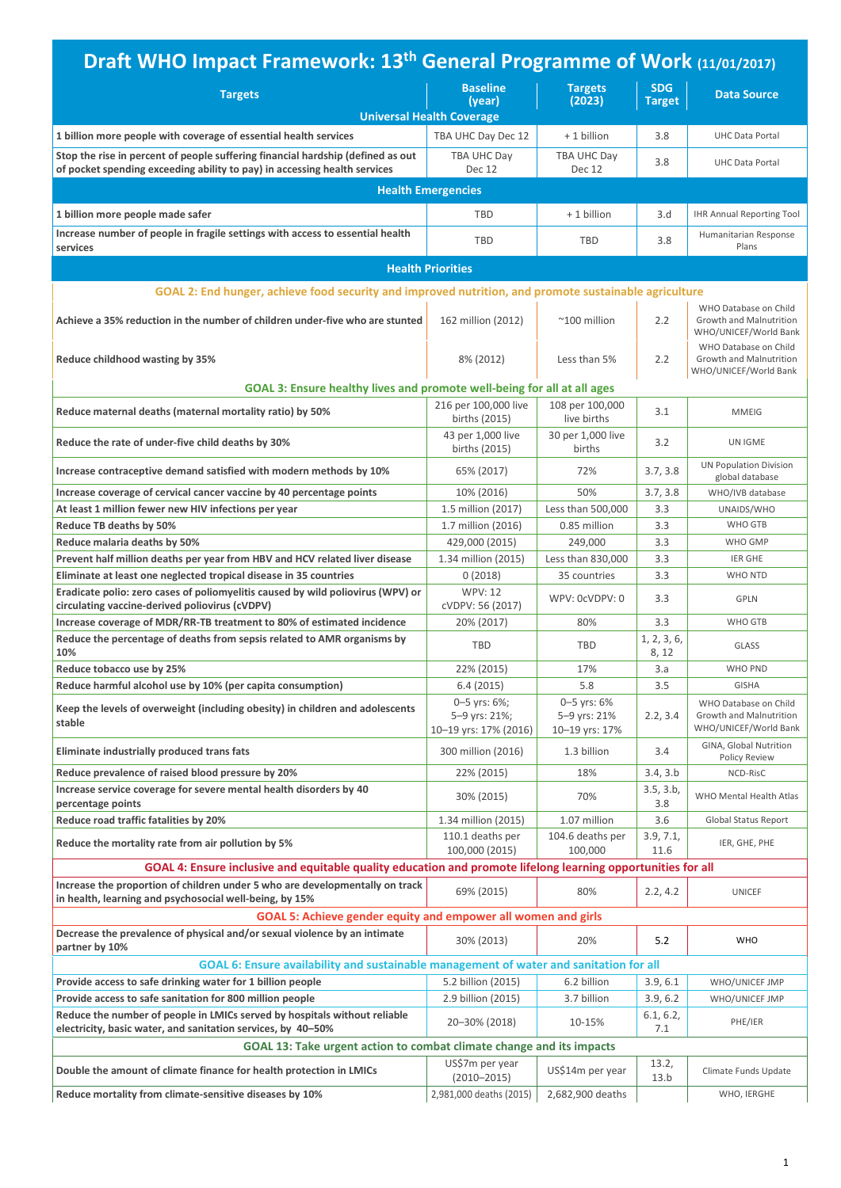| Draft WHO Impact Framework: 13 <sup>th</sup> General Programme of Work (11/01/2017)                                                                          |                                                        |                                               |                             |                                                                                                    |
|--------------------------------------------------------------------------------------------------------------------------------------------------------------|--------------------------------------------------------|-----------------------------------------------|-----------------------------|----------------------------------------------------------------------------------------------------|
| <b>Targets</b>                                                                                                                                               | <b>Baseline</b><br>(year)                              | <b>Targets</b><br>(2023)                      | <b>SDG</b><br><b>Target</b> | <b>Data Source</b>                                                                                 |
|                                                                                                                                                              | <b>Universal Health Coverage</b>                       |                                               |                             |                                                                                                    |
| 1 billion more people with coverage of essential health services                                                                                             | TBA UHC Day Dec 12                                     | + 1 billion                                   | 3.8                         | <b>UHC Data Portal</b>                                                                             |
| Stop the rise in percent of people suffering financial hardship (defined as out<br>of pocket spending exceeding ability to pay) in accessing health services | TBA UHC Day<br>Dec 12                                  | TBA UHC Day<br>Dec 12                         | 3.8                         | <b>UHC Data Portal</b>                                                                             |
|                                                                                                                                                              | <b>Health Emergencies</b>                              |                                               |                             |                                                                                                    |
| 1 billion more people made safer                                                                                                                             | <b>TBD</b>                                             | + 1 billion                                   | 3.d                         | <b>IHR Annual Reporting Tool</b>                                                                   |
| Increase number of people in fragile settings with access to essential health<br>services                                                                    | <b>TBD</b>                                             | <b>TBD</b>                                    | 3.8                         | Humanitarian Response<br>Plans                                                                     |
|                                                                                                                                                              | <b>Health Priorities</b>                               |                                               |                             |                                                                                                    |
| GOAL 2: End hunger, achieve food security and improved nutrition, and promote sustainable agriculture                                                        |                                                        |                                               |                             |                                                                                                    |
| Achieve a 35% reduction in the number of children under-five who are stunted                                                                                 | 162 million (2012)                                     | $~^{\sim}$ 100 million                        | 2.2                         | WHO Database on Child<br>Growth and Malnutrition<br>WHO/UNICEF/World Bank<br>WHO Database on Child |
| Reduce childhood wasting by 35%                                                                                                                              | 8% (2012)                                              | Less than 5%                                  | 2.2                         | Growth and Malnutrition<br>WHO/UNICEF/World Bank                                                   |
| GOAL 3: Ensure healthy lives and promote well-being for all at all ages                                                                                      |                                                        |                                               |                             |                                                                                                    |
| Reduce maternal deaths (maternal mortality ratio) by 50%                                                                                                     | 216 per 100,000 live<br>births (2015)                  | 108 per 100,000<br>live births                | 3.1                         | <b>MMEIG</b>                                                                                       |
| Reduce the rate of under-five child deaths by 30%                                                                                                            | 43 per 1,000 live<br>births (2015)                     | 30 per 1,000 live<br>births                   | 3.2                         | UN IGME                                                                                            |
| Increase contraceptive demand satisfied with modern methods by 10%                                                                                           | 65% (2017)                                             | 72%                                           | 3.7, 3.8                    | <b>UN Population Division</b><br>global database                                                   |
| Increase coverage of cervical cancer vaccine by 40 percentage points                                                                                         | 10% (2016)                                             | 50%                                           | 3.7, 3.8                    | WHO/IVB database                                                                                   |
| At least 1 million fewer new HIV infections per year                                                                                                         | 1.5 million (2017)                                     | Less than 500,000                             | 3.3                         | UNAIDS/WHO                                                                                         |
| Reduce TB deaths by 50%                                                                                                                                      | 1.7 million (2016)                                     | 0.85 million                                  | 3.3                         | WHO GTB                                                                                            |
| Reduce malaria deaths by 50%                                                                                                                                 | 429,000 (2015)                                         | 249,000                                       | 3.3                         | WHO GMP                                                                                            |
| Prevent half million deaths per year from HBV and HCV related liver disease                                                                                  | 1.34 million (2015)                                    | Less than 830,000                             | 3.3                         | <b>IER GHE</b>                                                                                     |
| Eliminate at least one neglected tropical disease in 35 countries                                                                                            | 0(2018)                                                | 35 countries                                  | 3.3                         | WHO NTD                                                                                            |
| Eradicate polio: zero cases of poliomyelitis caused by wild poliovirus (WPV) or                                                                              | <b>WPV: 12</b>                                         | WPV: 0cVDPV: 0                                | 3.3                         | <b>GPLN</b>                                                                                        |
| circulating vaccine-derived poliovirus (cVDPV)                                                                                                               | cVDPV: 56 (2017)                                       |                                               |                             |                                                                                                    |
| Increase coverage of MDR/RR-TB treatment to 80% of estimated incidence                                                                                       | 20% (2017)                                             | 80%                                           | 3.3                         | WHO GTB                                                                                            |
| Reduce the percentage of deaths from sepsis related to AMR organisms by<br>10%                                                                               | <b>TBD</b>                                             | TBD                                           | 1, 2, 3, 6,<br>8, 12        | <b>GLASS</b>                                                                                       |
| Reduce tobacco use by 25%                                                                                                                                    | 22% (2015)                                             | 17%                                           | 3.a                         | WHO PND                                                                                            |
| Reduce harmful alcohol use by 10% (per capita consumption)                                                                                                   | 6.4(2015)                                              | 5.8                                           | 3.5                         | <b>GISHA</b>                                                                                       |
| Keep the levels of overweight (including obesity) in children and adolescents<br>stable                                                                      | 0-5 yrs: 6%;<br>5-9 yrs: 21%;<br>10-19 yrs: 17% (2016) | 0-5 yrs: 6%<br>5-9 yrs: 21%<br>10-19 yrs: 17% | 2.2, 3.4                    | WHO Database on Child<br>Growth and Malnutrition<br>WHO/UNICEF/World Bank                          |
| Eliminate industrially produced trans fats                                                                                                                   | 300 million (2016)                                     | 1.3 billion                                   | 3.4                         | GINA, Global Nutrition<br>Policy Review                                                            |
| Reduce prevalence of raised blood pressure by 20%                                                                                                            | 22% (2015)                                             | 18%                                           | 3.4, 3.b                    | NCD-RisC                                                                                           |
| Increase service coverage for severe mental health disorders by 40<br>percentage points                                                                      | 30% (2015)                                             | 70%                                           | 3.5, 3.b,<br>3.8            | WHO Mental Health Atlas                                                                            |
| Reduce road traffic fatalities by 20%                                                                                                                        | 1.34 million (2015)                                    | 1.07 million                                  | 3.6                         | <b>Global Status Report</b>                                                                        |
| Reduce the mortality rate from air pollution by 5%                                                                                                           | 110.1 deaths per<br>100,000 (2015)                     | 104.6 deaths per<br>100,000                   | 3.9, 7.1,<br>11.6           | IER, GHE, PHE                                                                                      |
| GOAL 4: Ensure inclusive and equitable quality education and promote lifelong learning opportunities for all                                                 |                                                        |                                               |                             |                                                                                                    |
| Increase the proportion of children under 5 who are developmentally on track<br>in health, learning and psychosocial well-being, by 15%                      | 69% (2015)                                             | 80%                                           | 2.2, 4.2                    | <b>UNICEF</b>                                                                                      |
| GOAL 5: Achieve gender equity and empower all women and girls                                                                                                |                                                        |                                               |                             |                                                                                                    |
| Decrease the prevalence of physical and/or sexual violence by an intimate<br>partner by 10%                                                                  | 30% (2013)                                             | 20%                                           | 5.2                         | <b>WHO</b>                                                                                         |
| GOAL 6: Ensure availability and sustainable management of water and sanitation for all                                                                       |                                                        |                                               |                             |                                                                                                    |
|                                                                                                                                                              | 5.2 billion (2015)                                     |                                               |                             | WHO/UNICEF JMP                                                                                     |
| Provide access to safe drinking water for 1 billion people                                                                                                   |                                                        | 6.2 billion                                   | 3.9, 6.1                    | WHO/UNICEF JMP                                                                                     |
| Provide access to safe sanitation for 800 million people<br>Reduce the number of people in LMICs served by hospitals without reliable                        | 2.9 billion (2015)                                     | 3.7 billion                                   | 3.9, 6.2<br>6.1, 6.2,       |                                                                                                    |
| electricity, basic water, and sanitation services, by 40-50%                                                                                                 | 20-30% (2018)                                          | 10-15%                                        | 7.1                         | PHE/IER                                                                                            |
| GOAL 13: Take urgent action to combat climate change and its impacts                                                                                         |                                                        |                                               |                             |                                                                                                    |
| Double the amount of climate finance for health protection in LMICs                                                                                          | US\$7m per year<br>$(2010 - 2015)$                     | US\$14m per year                              | 13.2,<br>13.b               | Climate Funds Update                                                                               |
| Reduce mortality from climate-sensitive diseases by 10%                                                                                                      | 2,981,000 deaths (2015)                                | 2,682,900 deaths                              |                             | WHO, IERGHE                                                                                        |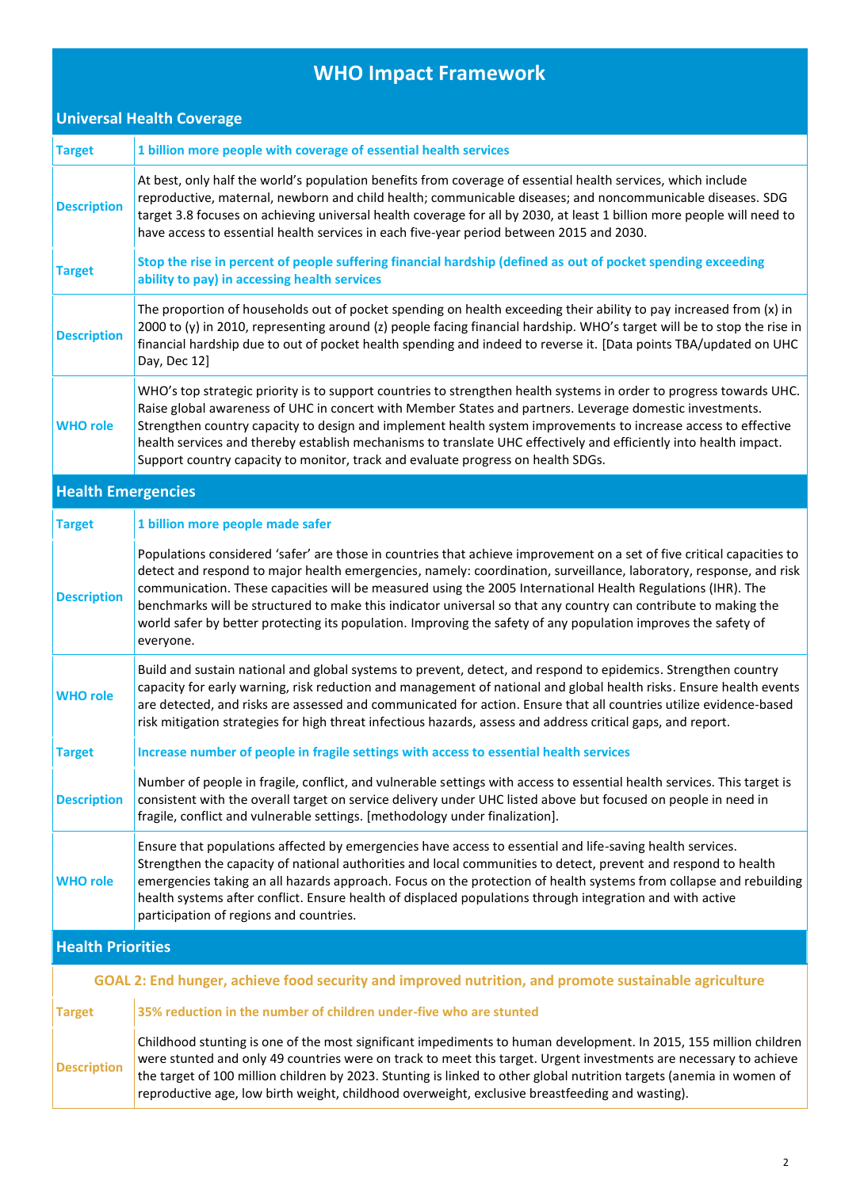## **WHO Impact Framework**

| <b>Universal Health Coverage</b> |                                                                                                                                                                                                                                                                                                                                                                                                                                                                                                                                                                                                               |
|----------------------------------|---------------------------------------------------------------------------------------------------------------------------------------------------------------------------------------------------------------------------------------------------------------------------------------------------------------------------------------------------------------------------------------------------------------------------------------------------------------------------------------------------------------------------------------------------------------------------------------------------------------|
| <b>Target</b>                    | 1 billion more people with coverage of essential health services                                                                                                                                                                                                                                                                                                                                                                                                                                                                                                                                              |
| <b>Description</b>               | At best, only half the world's population benefits from coverage of essential health services, which include<br>reproductive, maternal, newborn and child health; communicable diseases; and noncommunicable diseases. SDG<br>target 3.8 focuses on achieving universal health coverage for all by 2030, at least 1 billion more people will need to<br>have access to essential health services in each five-year period between 2015 and 2030.                                                                                                                                                              |
| <b>Target</b>                    | Stop the rise in percent of people suffering financial hardship (defined as out of pocket spending exceeding<br>ability to pay) in accessing health services                                                                                                                                                                                                                                                                                                                                                                                                                                                  |
| <b>Description</b>               | The proportion of households out of pocket spending on health exceeding their ability to pay increased from (x) in<br>2000 to (y) in 2010, representing around (z) people facing financial hardship. WHO's target will be to stop the rise in<br>financial hardship due to out of pocket health spending and indeed to reverse it. [Data points TBA/updated on UHC<br>Day, Dec 12]                                                                                                                                                                                                                            |
| <b>WHO role</b>                  | WHO's top strategic priority is to support countries to strengthen health systems in order to progress towards UHC.<br>Raise global awareness of UHC in concert with Member States and partners. Leverage domestic investments.<br>Strengthen country capacity to design and implement health system improvements to increase access to effective<br>health services and thereby establish mechanisms to translate UHC effectively and efficiently into health impact.<br>Support country capacity to monitor, track and evaluate progress on health SDGs.                                                    |
| <b>Health Emergencies</b>        |                                                                                                                                                                                                                                                                                                                                                                                                                                                                                                                                                                                                               |
| <b>Target</b>                    | 1 billion more people made safer                                                                                                                                                                                                                                                                                                                                                                                                                                                                                                                                                                              |
| <b>Description</b>               | Populations considered 'safer' are those in countries that achieve improvement on a set of five critical capacities to<br>detect and respond to major health emergencies, namely: coordination, surveillance, laboratory, response, and risk<br>communication. These capacities will be measured using the 2005 International Health Regulations (IHR). The<br>benchmarks will be structured to make this indicator universal so that any country can contribute to making the<br>world safer by better protecting its population. Improving the safety of any population improves the safety of<br>everyone. |
| <b>WHO role</b>                  | Build and sustain national and global systems to prevent, detect, and respond to epidemics. Strengthen country<br>capacity for early warning, risk reduction and management of national and global health risks. Ensure health events<br>are detected, and risks are assessed and communicated for action. Ensure that all countries utilize evidence-based<br>risk mitigation strategies for high threat infectious hazards, assess and address critical gaps, and report.                                                                                                                                   |
| <b>Target</b>                    | Increase number of people in fragile settings with access to essential health services                                                                                                                                                                                                                                                                                                                                                                                                                                                                                                                        |
| <b>Description</b>               | Number of people in fragile, conflict, and vulnerable settings with access to essential health services. This target is<br>consistent with the overall target on service delivery under UHC listed above but focused on people in need in<br>fragile, conflict and vulnerable settings. [methodology under finalization].                                                                                                                                                                                                                                                                                     |
| <b>WHO role</b>                  | Ensure that populations affected by emergencies have access to essential and life-saving health services.<br>Strengthen the capacity of national authorities and local communities to detect, prevent and respond to health<br>emergencies taking an all hazards approach. Focus on the protection of health systems from collapse and rebuilding<br>health systems after conflict. Ensure health of displaced populations through integration and with active<br>participation of regions and countries.                                                                                                     |
| <b>Health Priorities</b>         |                                                                                                                                                                                                                                                                                                                                                                                                                                                                                                                                                                                                               |
|                                  | GOAL 2: End hunger, achieve food security and improved nutrition, and promote sustainable agriculture                                                                                                                                                                                                                                                                                                                                                                                                                                                                                                         |
| <b>Target</b>                    | 35% reduction in the number of children under-five who are stunted                                                                                                                                                                                                                                                                                                                                                                                                                                                                                                                                            |
| <b>Description</b>               | Childhood stunting is one of the most significant impediments to human development. In 2015, 155 million children<br>were stunted and only 49 countries were on track to meet this target. Urgent investments are necessary to achieve<br>the target of 100 million children by 2023. Stunting is linked to other global nutrition targets (anemia in women of<br>reproductive age, low birth weight, childhood overweight, exclusive breastfeeding and wasting).                                                                                                                                             |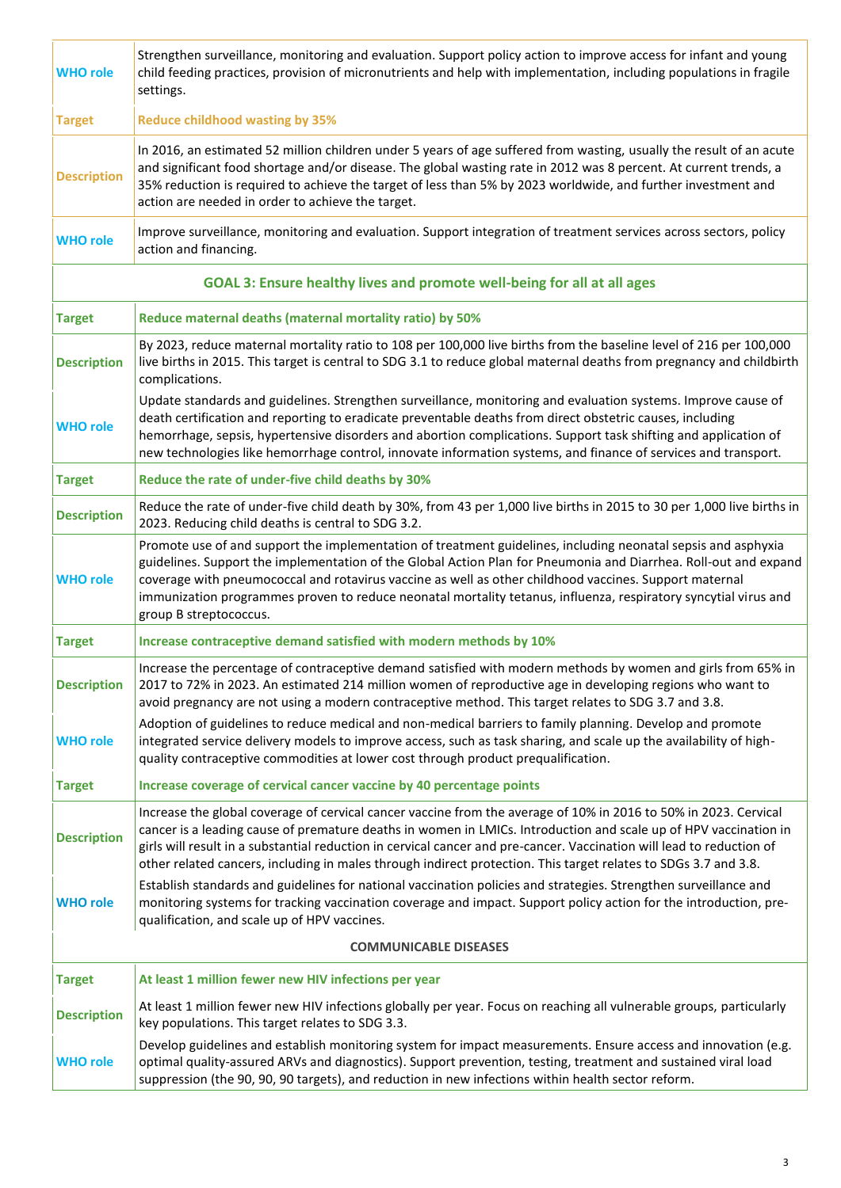| <b>WHO role</b>              | Strengthen surveillance, monitoring and evaluation. Support policy action to improve access for infant and young<br>child feeding practices, provision of micronutrients and help with implementation, including populations in fragile<br>settings.                                                                                                                                                                                                                                     |
|------------------------------|------------------------------------------------------------------------------------------------------------------------------------------------------------------------------------------------------------------------------------------------------------------------------------------------------------------------------------------------------------------------------------------------------------------------------------------------------------------------------------------|
| <b>Target</b>                | <b>Reduce childhood wasting by 35%</b>                                                                                                                                                                                                                                                                                                                                                                                                                                                   |
| <b>Description</b>           | In 2016, an estimated 52 million children under 5 years of age suffered from wasting, usually the result of an acute<br>and significant food shortage and/or disease. The global wasting rate in 2012 was 8 percent. At current trends, a<br>35% reduction is required to achieve the target of less than 5% by 2023 worldwide, and further investment and<br>action are needed in order to achieve the target.                                                                          |
| <b>WHO role</b>              | Improve surveillance, monitoring and evaluation. Support integration of treatment services across sectors, policy<br>action and financing.                                                                                                                                                                                                                                                                                                                                               |
|                              | GOAL 3: Ensure healthy lives and promote well-being for all at all ages                                                                                                                                                                                                                                                                                                                                                                                                                  |
| <b>Target</b>                | Reduce maternal deaths (maternal mortality ratio) by 50%                                                                                                                                                                                                                                                                                                                                                                                                                                 |
| <b>Description</b>           | By 2023, reduce maternal mortality ratio to 108 per 100,000 live births from the baseline level of 216 per 100,000<br>live births in 2015. This target is central to SDG 3.1 to reduce global maternal deaths from pregnancy and childbirth<br>complications.                                                                                                                                                                                                                            |
| <b>WHO role</b>              | Update standards and guidelines. Strengthen surveillance, monitoring and evaluation systems. Improve cause of<br>death certification and reporting to eradicate preventable deaths from direct obstetric causes, including<br>hemorrhage, sepsis, hypertensive disorders and abortion complications. Support task shifting and application of<br>new technologies like hemorrhage control, innovate information systems, and finance of services and transport.                          |
| <b>Target</b>                | Reduce the rate of under-five child deaths by 30%                                                                                                                                                                                                                                                                                                                                                                                                                                        |
| <b>Description</b>           | Reduce the rate of under-five child death by 30%, from 43 per 1,000 live births in 2015 to 30 per 1,000 live births in<br>2023. Reducing child deaths is central to SDG 3.2.                                                                                                                                                                                                                                                                                                             |
| <b>WHO role</b>              | Promote use of and support the implementation of treatment guidelines, including neonatal sepsis and asphyxia<br>guidelines. Support the implementation of the Global Action Plan for Pneumonia and Diarrhea. Roll-out and expand<br>coverage with pneumococcal and rotavirus vaccine as well as other childhood vaccines. Support maternal<br>immunization programmes proven to reduce neonatal mortality tetanus, influenza, respiratory syncytial virus and<br>group B streptococcus. |
| <b>Target</b>                | Increase contraceptive demand satisfied with modern methods by 10%                                                                                                                                                                                                                                                                                                                                                                                                                       |
| <b>Description</b>           | Increase the percentage of contraceptive demand satisfied with modern methods by women and girls from 65% in<br>2017 to 72% in 2023. An estimated 214 million women of reproductive age in developing regions who want to<br>avoid pregnancy are not using a modern contraceptive method. This target relates to SDG 3.7 and 3.8.                                                                                                                                                        |
| <b>WHO role</b>              | Adoption of guidelines to reduce medical and non-medical barriers to family planning. Develop and promote<br>integrated service delivery models to improve access, such as task sharing, and scale up the availability of high-<br>quality contraceptive commodities at lower cost through product prequalification.                                                                                                                                                                     |
| <b>Target</b>                | Increase coverage of cervical cancer vaccine by 40 percentage points                                                                                                                                                                                                                                                                                                                                                                                                                     |
| <b>Description</b>           | Increase the global coverage of cervical cancer vaccine from the average of 10% in 2016 to 50% in 2023. Cervical<br>cancer is a leading cause of premature deaths in women in LMICs. Introduction and scale up of HPV vaccination in<br>girls will result in a substantial reduction in cervical cancer and pre-cancer. Vaccination will lead to reduction of<br>other related cancers, including in males through indirect protection. This target relates to SDGs 3.7 and 3.8.         |
| <b>WHO role</b>              | Establish standards and guidelines for national vaccination policies and strategies. Strengthen surveillance and<br>monitoring systems for tracking vaccination coverage and impact. Support policy action for the introduction, pre-<br>qualification, and scale up of HPV vaccines.                                                                                                                                                                                                    |
| <b>COMMUNICABLE DISEASES</b> |                                                                                                                                                                                                                                                                                                                                                                                                                                                                                          |
| <b>Target</b>                | At least 1 million fewer new HIV infections per year                                                                                                                                                                                                                                                                                                                                                                                                                                     |
| <b>Description</b>           | At least 1 million fewer new HIV infections globally per year. Focus on reaching all vulnerable groups, particularly<br>key populations. This target relates to SDG 3.3.                                                                                                                                                                                                                                                                                                                 |
| <b>WHO role</b>              | Develop guidelines and establish monitoring system for impact measurements. Ensure access and innovation (e.g.<br>optimal quality-assured ARVs and diagnostics). Support prevention, testing, treatment and sustained viral load<br>suppression (the 90, 90, 90 targets), and reduction in new infections within health sector reform.                                                                                                                                                   |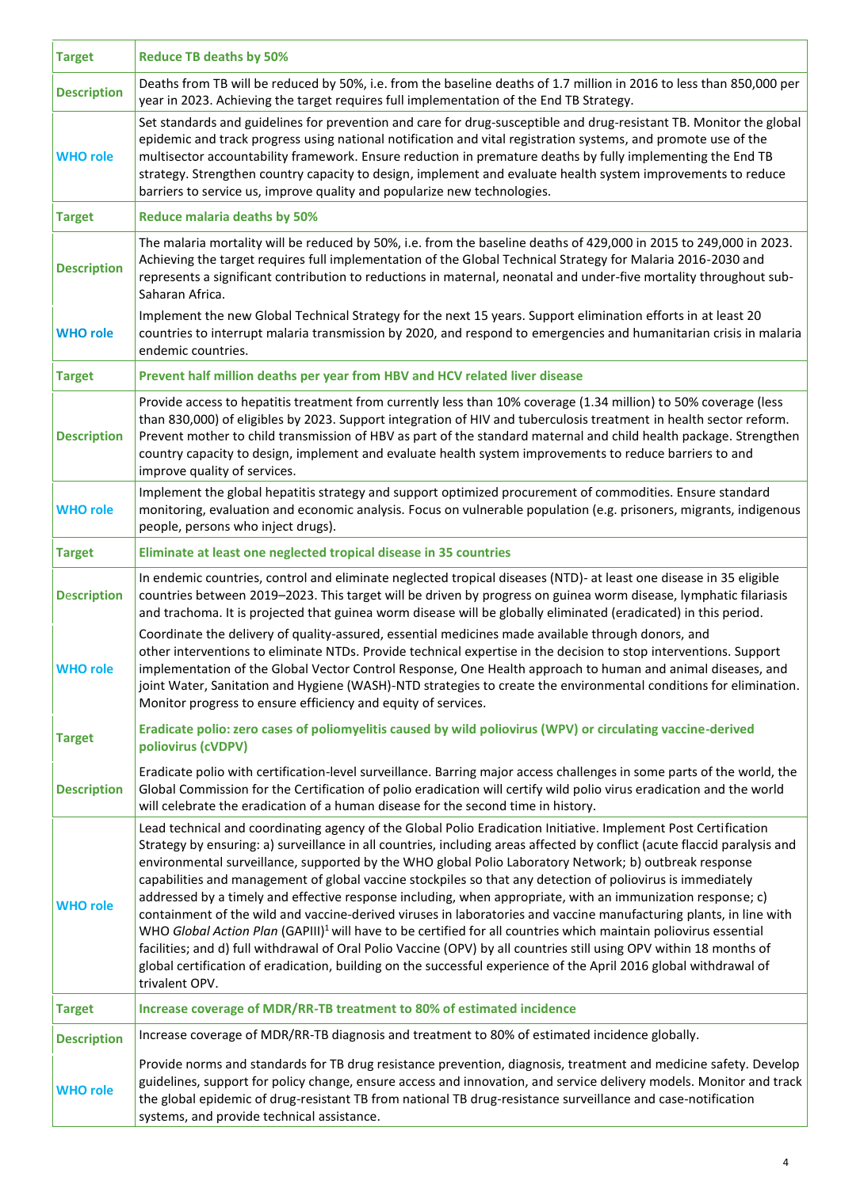| <b>Target</b>      | <b>Reduce TB deaths by 50%</b>                                                                                                                                                                                                                                                                                                                                                                                                                                                                                                                                                                                                                                                                                                                                                                                                                                                                                                                                                                                                                                                                           |
|--------------------|----------------------------------------------------------------------------------------------------------------------------------------------------------------------------------------------------------------------------------------------------------------------------------------------------------------------------------------------------------------------------------------------------------------------------------------------------------------------------------------------------------------------------------------------------------------------------------------------------------------------------------------------------------------------------------------------------------------------------------------------------------------------------------------------------------------------------------------------------------------------------------------------------------------------------------------------------------------------------------------------------------------------------------------------------------------------------------------------------------|
| <b>Description</b> | Deaths from TB will be reduced by 50%, i.e. from the baseline deaths of 1.7 million in 2016 to less than 850,000 per<br>year in 2023. Achieving the target requires full implementation of the End TB Strategy.                                                                                                                                                                                                                                                                                                                                                                                                                                                                                                                                                                                                                                                                                                                                                                                                                                                                                          |
| <b>WHO role</b>    | Set standards and guidelines for prevention and care for drug-susceptible and drug-resistant TB. Monitor the global<br>epidemic and track progress using national notification and vital registration systems, and promote use of the<br>multisector accountability framework. Ensure reduction in premature deaths by fully implementing the End TB<br>strategy. Strengthen country capacity to design, implement and evaluate health system improvements to reduce<br>barriers to service us, improve quality and popularize new technologies.                                                                                                                                                                                                                                                                                                                                                                                                                                                                                                                                                         |
| <b>Target</b>      | <b>Reduce malaria deaths by 50%</b>                                                                                                                                                                                                                                                                                                                                                                                                                                                                                                                                                                                                                                                                                                                                                                                                                                                                                                                                                                                                                                                                      |
| <b>Description</b> | The malaria mortality will be reduced by 50%, i.e. from the baseline deaths of 429,000 in 2015 to 249,000 in 2023.<br>Achieving the target requires full implementation of the Global Technical Strategy for Malaria 2016-2030 and<br>represents a significant contribution to reductions in maternal, neonatal and under-five mortality throughout sub-<br>Saharan Africa.                                                                                                                                                                                                                                                                                                                                                                                                                                                                                                                                                                                                                                                                                                                              |
| <b>WHO role</b>    | Implement the new Global Technical Strategy for the next 15 years. Support elimination efforts in at least 20<br>countries to interrupt malaria transmission by 2020, and respond to emergencies and humanitarian crisis in malaria<br>endemic countries.                                                                                                                                                                                                                                                                                                                                                                                                                                                                                                                                                                                                                                                                                                                                                                                                                                                |
| <b>Target</b>      | Prevent half million deaths per year from HBV and HCV related liver disease                                                                                                                                                                                                                                                                                                                                                                                                                                                                                                                                                                                                                                                                                                                                                                                                                                                                                                                                                                                                                              |
| <b>Description</b> | Provide access to hepatitis treatment from currently less than 10% coverage (1.34 million) to 50% coverage (less<br>than 830,000) of eligibles by 2023. Support integration of HIV and tuberculosis treatment in health sector reform.<br>Prevent mother to child transmission of HBV as part of the standard maternal and child health package. Strengthen<br>country capacity to design, implement and evaluate health system improvements to reduce barriers to and<br>improve quality of services.                                                                                                                                                                                                                                                                                                                                                                                                                                                                                                                                                                                                   |
| <b>WHO role</b>    | Implement the global hepatitis strategy and support optimized procurement of commodities. Ensure standard<br>monitoring, evaluation and economic analysis. Focus on vulnerable population (e.g. prisoners, migrants, indigenous<br>people, persons who inject drugs).                                                                                                                                                                                                                                                                                                                                                                                                                                                                                                                                                                                                                                                                                                                                                                                                                                    |
| <b>Target</b>      | Eliminate at least one neglected tropical disease in 35 countries                                                                                                                                                                                                                                                                                                                                                                                                                                                                                                                                                                                                                                                                                                                                                                                                                                                                                                                                                                                                                                        |
| <b>Description</b> | In endemic countries, control and eliminate neglected tropical diseases (NTD)- at least one disease in 35 eligible<br>countries between 2019-2023. This target will be driven by progress on guinea worm disease, lymphatic filariasis<br>and trachoma. It is projected that guinea worm disease will be globally eliminated (eradicated) in this period.                                                                                                                                                                                                                                                                                                                                                                                                                                                                                                                                                                                                                                                                                                                                                |
| <b>WHO role</b>    | Coordinate the delivery of quality-assured, essential medicines made available through donors, and<br>other interventions to eliminate NTDs. Provide technical expertise in the decision to stop interventions. Support<br>implementation of the Global Vector Control Response, One Health approach to human and animal diseases, and<br>joint Water, Sanitation and Hygiene (WASH)-NTD strategies to create the environmental conditions for elimination.<br>Monitor progress to ensure efficiency and equity of services.                                                                                                                                                                                                                                                                                                                                                                                                                                                                                                                                                                             |
| <b>Target</b>      | Eradicate polio: zero cases of poliomyelitis caused by wild poliovirus (WPV) or circulating vaccine-derived<br>poliovirus (cVDPV)                                                                                                                                                                                                                                                                                                                                                                                                                                                                                                                                                                                                                                                                                                                                                                                                                                                                                                                                                                        |
| <b>Description</b> | Eradicate polio with certification-level surveillance. Barring major access challenges in some parts of the world, the<br>Global Commission for the Certification of polio eradication will certify wild polio virus eradication and the world<br>will celebrate the eradication of a human disease for the second time in history.                                                                                                                                                                                                                                                                                                                                                                                                                                                                                                                                                                                                                                                                                                                                                                      |
| <b>WHO role</b>    | Lead technical and coordinating agency of the Global Polio Eradication Initiative. Implement Post Certification<br>Strategy by ensuring: a) surveillance in all countries, including areas affected by conflict (acute flaccid paralysis and<br>environmental surveillance, supported by the WHO global Polio Laboratory Network; b) outbreak response<br>capabilities and management of global vaccine stockpiles so that any detection of poliovirus is immediately<br>addressed by a timely and effective response including, when appropriate, with an immunization response; c)<br>containment of the wild and vaccine-derived viruses in laboratories and vaccine manufacturing plants, in line with<br>WHO Global Action Plan (GAPIII) <sup>1</sup> will have to be certified for all countries which maintain poliovirus essential<br>facilities; and d) full withdrawal of Oral Polio Vaccine (OPV) by all countries still using OPV within 18 months of<br>global certification of eradication, building on the successful experience of the April 2016 global withdrawal of<br>trivalent OPV. |
| <b>Target</b>      | Increase coverage of MDR/RR-TB treatment to 80% of estimated incidence                                                                                                                                                                                                                                                                                                                                                                                                                                                                                                                                                                                                                                                                                                                                                                                                                                                                                                                                                                                                                                   |
| <b>Description</b> | Increase coverage of MDR/RR-TB diagnosis and treatment to 80% of estimated incidence globally.                                                                                                                                                                                                                                                                                                                                                                                                                                                                                                                                                                                                                                                                                                                                                                                                                                                                                                                                                                                                           |
| <b>WHO role</b>    | Provide norms and standards for TB drug resistance prevention, diagnosis, treatment and medicine safety. Develop<br>guidelines, support for policy change, ensure access and innovation, and service delivery models. Monitor and track<br>the global epidemic of drug-resistant TB from national TB drug-resistance surveillance and case-notification<br>systems, and provide technical assistance.                                                                                                                                                                                                                                                                                                                                                                                                                                                                                                                                                                                                                                                                                                    |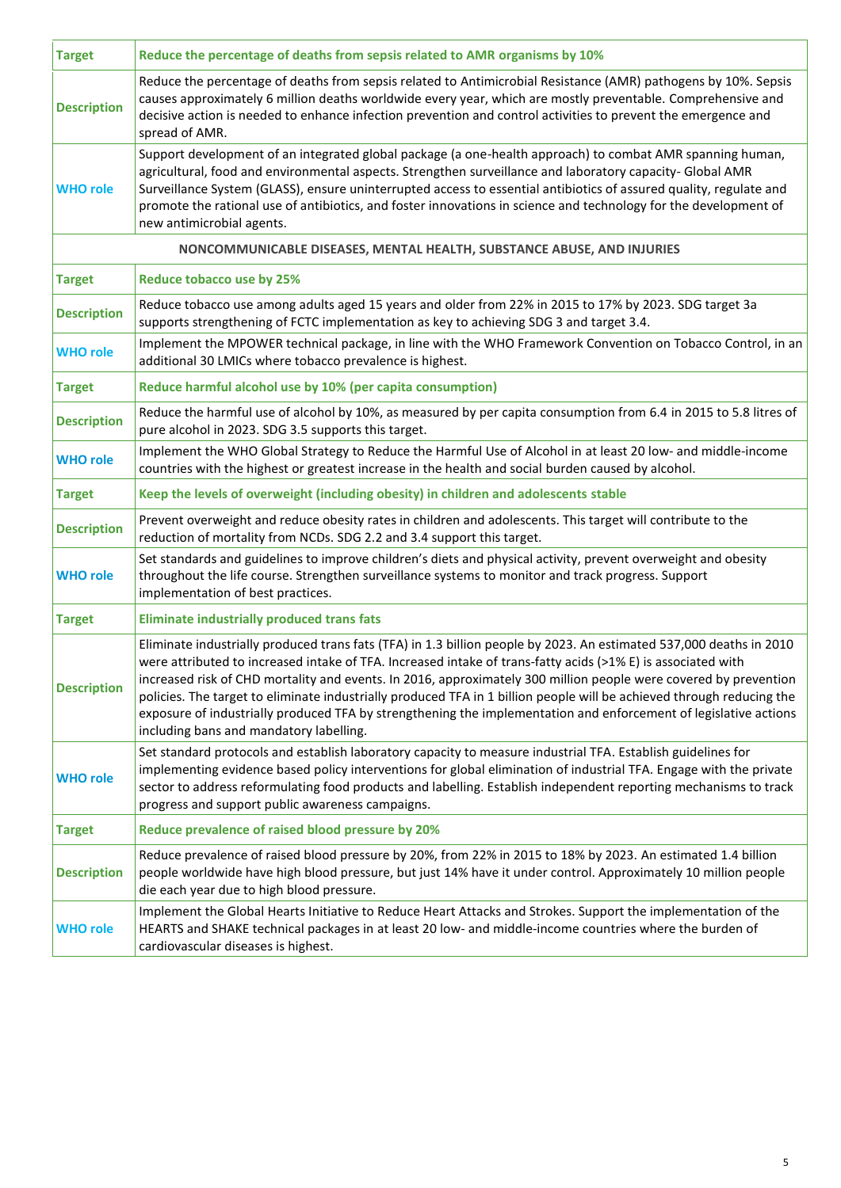| <b>Target</b>      | Reduce the percentage of deaths from sepsis related to AMR organisms by 10%                                                                                                                                                                                                                                                                                                                                                                                                                                                                                                                                                                     |
|--------------------|-------------------------------------------------------------------------------------------------------------------------------------------------------------------------------------------------------------------------------------------------------------------------------------------------------------------------------------------------------------------------------------------------------------------------------------------------------------------------------------------------------------------------------------------------------------------------------------------------------------------------------------------------|
| <b>Description</b> | Reduce the percentage of deaths from sepsis related to Antimicrobial Resistance (AMR) pathogens by 10%. Sepsis<br>causes approximately 6 million deaths worldwide every year, which are mostly preventable. Comprehensive and<br>decisive action is needed to enhance infection prevention and control activities to prevent the emergence and<br>spread of AMR.                                                                                                                                                                                                                                                                                |
| <b>WHO role</b>    | Support development of an integrated global package (a one-health approach) to combat AMR spanning human,<br>agricultural, food and environmental aspects. Strengthen surveillance and laboratory capacity- Global AMR<br>Surveillance System (GLASS), ensure uninterrupted access to essential antibiotics of assured quality, regulate and<br>promote the rational use of antibiotics, and foster innovations in science and technology for the development of<br>new antimicrobial agents.                                                                                                                                                   |
|                    | NONCOMMUNICABLE DISEASES, MENTAL HEALTH, SUBSTANCE ABUSE, AND INJURIES                                                                                                                                                                                                                                                                                                                                                                                                                                                                                                                                                                          |
| <b>Target</b>      | <b>Reduce tobacco use by 25%</b>                                                                                                                                                                                                                                                                                                                                                                                                                                                                                                                                                                                                                |
| <b>Description</b> | Reduce tobacco use among adults aged 15 years and older from 22% in 2015 to 17% by 2023. SDG target 3a<br>supports strengthening of FCTC implementation as key to achieving SDG 3 and target 3.4.                                                                                                                                                                                                                                                                                                                                                                                                                                               |
| <b>WHO role</b>    | Implement the MPOWER technical package, in line with the WHO Framework Convention on Tobacco Control, in an<br>additional 30 LMICs where tobacco prevalence is highest.                                                                                                                                                                                                                                                                                                                                                                                                                                                                         |
| <b>Target</b>      | Reduce harmful alcohol use by 10% (per capita consumption)                                                                                                                                                                                                                                                                                                                                                                                                                                                                                                                                                                                      |
| <b>Description</b> | Reduce the harmful use of alcohol by 10%, as measured by per capita consumption from 6.4 in 2015 to 5.8 litres of<br>pure alcohol in 2023. SDG 3.5 supports this target.                                                                                                                                                                                                                                                                                                                                                                                                                                                                        |
| <b>WHO role</b>    | Implement the WHO Global Strategy to Reduce the Harmful Use of Alcohol in at least 20 low- and middle-income<br>countries with the highest or greatest increase in the health and social burden caused by alcohol.                                                                                                                                                                                                                                                                                                                                                                                                                              |
| <b>Target</b>      | Keep the levels of overweight (including obesity) in children and adolescents stable                                                                                                                                                                                                                                                                                                                                                                                                                                                                                                                                                            |
| <b>Description</b> | Prevent overweight and reduce obesity rates in children and adolescents. This target will contribute to the<br>reduction of mortality from NCDs. SDG 2.2 and 3.4 support this target.                                                                                                                                                                                                                                                                                                                                                                                                                                                           |
| <b>WHO role</b>    | Set standards and guidelines to improve children's diets and physical activity, prevent overweight and obesity<br>throughout the life course. Strengthen surveillance systems to monitor and track progress. Support<br>implementation of best practices.                                                                                                                                                                                                                                                                                                                                                                                       |
| <b>Target</b>      | <b>Eliminate industrially produced trans fats</b>                                                                                                                                                                                                                                                                                                                                                                                                                                                                                                                                                                                               |
| <b>Description</b> | Eliminate industrially produced trans fats (TFA) in 1.3 billion people by 2023. An estimated 537,000 deaths in 2010<br>were attributed to increased intake of TFA. Increased intake of trans-fatty acids (>1% E) is associated with<br>increased risk of CHD mortality and events. In 2016, approximately 300 million people were covered by prevention<br>policies. The target to eliminate industrially produced TFA in 1 billion people will be achieved through reducing the<br>exposure of industrially produced TFA by strengthening the implementation and enforcement of legislative actions<br>including bans and mandatory labelling. |
| <b>WHO role</b>    | Set standard protocols and establish laboratory capacity to measure industrial TFA. Establish guidelines for<br>implementing evidence based policy interventions for global elimination of industrial TFA. Engage with the private<br>sector to address reformulating food products and labelling. Establish independent reporting mechanisms to track<br>progress and support public awareness campaigns.                                                                                                                                                                                                                                      |
| <b>Target</b>      | Reduce prevalence of raised blood pressure by 20%                                                                                                                                                                                                                                                                                                                                                                                                                                                                                                                                                                                               |
| <b>Description</b> | Reduce prevalence of raised blood pressure by 20%, from 22% in 2015 to 18% by 2023. An estimated 1.4 billion<br>people worldwide have high blood pressure, but just 14% have it under control. Approximately 10 million people<br>die each year due to high blood pressure.                                                                                                                                                                                                                                                                                                                                                                     |
| <b>WHO role</b>    | Implement the Global Hearts Initiative to Reduce Heart Attacks and Strokes. Support the implementation of the<br>HEARTS and SHAKE technical packages in at least 20 low- and middle-income countries where the burden of<br>cardiovascular diseases is highest.                                                                                                                                                                                                                                                                                                                                                                                 |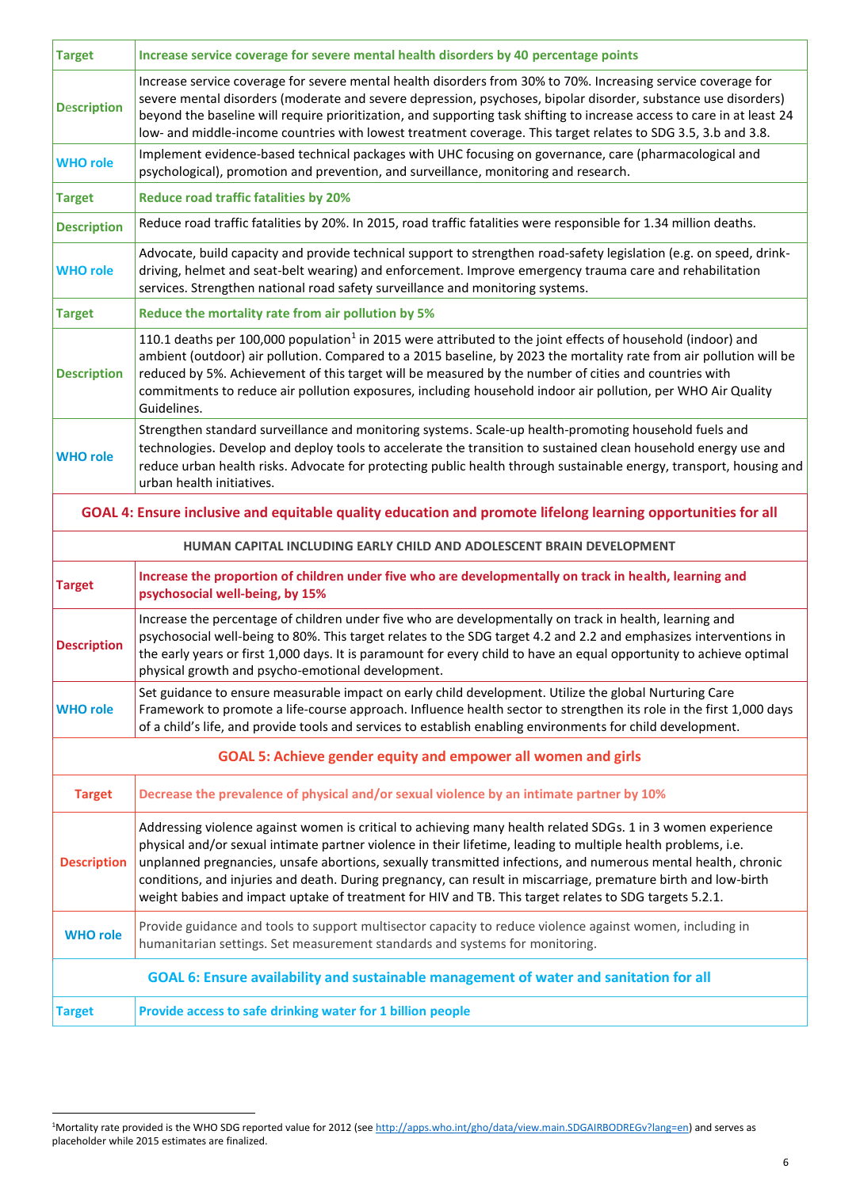| <b>Target</b>      | Increase service coverage for severe mental health disorders by 40 percentage points                                                                                                                                                                                                                                                                                                                                                                                                                                                                                       |
|--------------------|----------------------------------------------------------------------------------------------------------------------------------------------------------------------------------------------------------------------------------------------------------------------------------------------------------------------------------------------------------------------------------------------------------------------------------------------------------------------------------------------------------------------------------------------------------------------------|
| <b>Description</b> | Increase service coverage for severe mental health disorders from 30% to 70%. Increasing service coverage for<br>severe mental disorders (moderate and severe depression, psychoses, bipolar disorder, substance use disorders)<br>beyond the baseline will require prioritization, and supporting task shifting to increase access to care in at least 24<br>low- and middle-income countries with lowest treatment coverage. This target relates to SDG 3.5, 3.b and 3.8.                                                                                                |
| <b>WHO role</b>    | Implement evidence-based technical packages with UHC focusing on governance, care (pharmacological and<br>psychological), promotion and prevention, and surveillance, monitoring and research.                                                                                                                                                                                                                                                                                                                                                                             |
| <b>Target</b>      | <b>Reduce road traffic fatalities by 20%</b>                                                                                                                                                                                                                                                                                                                                                                                                                                                                                                                               |
| <b>Description</b> | Reduce road traffic fatalities by 20%. In 2015, road traffic fatalities were responsible for 1.34 million deaths.                                                                                                                                                                                                                                                                                                                                                                                                                                                          |
| <b>WHO role</b>    | Advocate, build capacity and provide technical support to strengthen road-safety legislation (e.g. on speed, drink-<br>driving, helmet and seat-belt wearing) and enforcement. Improve emergency trauma care and rehabilitation<br>services. Strengthen national road safety surveillance and monitoring systems.                                                                                                                                                                                                                                                          |
| <b>Target</b>      | Reduce the mortality rate from air pollution by 5%                                                                                                                                                                                                                                                                                                                                                                                                                                                                                                                         |
| <b>Description</b> | 110.1 deaths per 100,000 population <sup>1</sup> in 2015 were attributed to the joint effects of household (indoor) and<br>ambient (outdoor) air pollution. Compared to a 2015 baseline, by 2023 the mortality rate from air pollution will be<br>reduced by 5%. Achievement of this target will be measured by the number of cities and countries with<br>commitments to reduce air pollution exposures, including household indoor air pollution, per WHO Air Quality<br>Guidelines.                                                                                     |
| <b>WHO role</b>    | Strengthen standard surveillance and monitoring systems. Scale-up health-promoting household fuels and<br>technologies. Develop and deploy tools to accelerate the transition to sustained clean household energy use and<br>reduce urban health risks. Advocate for protecting public health through sustainable energy, transport, housing and<br>urban health initiatives.                                                                                                                                                                                              |
|                    | GOAL 4: Ensure inclusive and equitable quality education and promote lifelong learning opportunities for all                                                                                                                                                                                                                                                                                                                                                                                                                                                               |
|                    | HUMAN CAPITAL INCLUDING EARLY CHILD AND ADOLESCENT BRAIN DEVELOPMENT                                                                                                                                                                                                                                                                                                                                                                                                                                                                                                       |
| <b>Target</b>      | Increase the proportion of children under five who are developmentally on track in health, learning and<br>psychosocial well-being, by 15%                                                                                                                                                                                                                                                                                                                                                                                                                                 |
| <b>Description</b> | Increase the percentage of children under five who are developmentally on track in health, learning and<br>psychosocial well-being to 80%. This target relates to the SDG target 4.2 and 2.2 and emphasizes interventions in<br>the early years or first 1,000 days. It is paramount for every child to have an equal opportunity to achieve optimal<br>physical growth and psycho-emotional development.                                                                                                                                                                  |
| <b>WHO role</b>    | Set guidance to ensure measurable impact on early child development. Utilize the global Nurturing Care<br>Framework to promote a life-course approach. Influence health sector to strengthen its role in the first 1,000 days<br>of a child's life, and provide tools and services to establish enabling environments for child development.                                                                                                                                                                                                                               |
|                    | <b>GOAL 5: Achieve gender equity and empower all women and girls</b>                                                                                                                                                                                                                                                                                                                                                                                                                                                                                                       |
| <b>Target</b>      | Decrease the prevalence of physical and/or sexual violence by an intimate partner by 10%                                                                                                                                                                                                                                                                                                                                                                                                                                                                                   |
| <b>Description</b> | Addressing violence against women is critical to achieving many health related SDGs. 1 in 3 women experience<br>physical and/or sexual intimate partner violence in their lifetime, leading to multiple health problems, i.e.<br>unplanned pregnancies, unsafe abortions, sexually transmitted infections, and numerous mental health, chronic<br>conditions, and injuries and death. During pregnancy, can result in miscarriage, premature birth and low-birth<br>weight babies and impact uptake of treatment for HIV and TB. This target relates to SDG targets 5.2.1. |
| <b>WHO role</b>    | Provide guidance and tools to support multisector capacity to reduce violence against women, including in<br>humanitarian settings. Set measurement standards and systems for monitoring.                                                                                                                                                                                                                                                                                                                                                                                  |
|                    |                                                                                                                                                                                                                                                                                                                                                                                                                                                                                                                                                                            |
|                    | GOAL 6: Ensure availability and sustainable management of water and sanitation for all                                                                                                                                                                                                                                                                                                                                                                                                                                                                                     |

 $\overline{\phantom{a}}$ 

<sup>&</sup>lt;sup>1</sup>Mortality rate provided is the WHO SDG reported value for 2012 (see <u>http://apps.who.int/gho/data/view.main.SDGAIRBODREGv?lang=en</u>) and serves as placeholder while 2015 estimates are finalized.